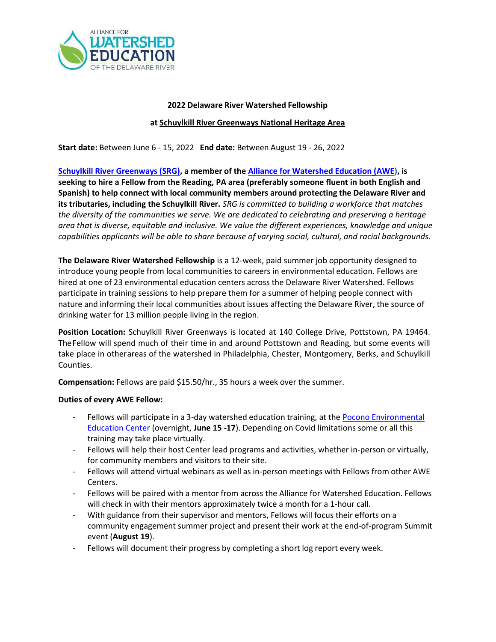

# 2022 Delaware River Watershed Fellowship at Schuylkill River Greenways National Heritage Area

Start date: Between June 6 - 15, 2022 End date: Between August 19 - 26, 2022

Schuylkill River Greenways (SRG), a member of the Alliance for Watershed Education (AWE), is seeking to hire a Fellow from the Reading, PA area (preferably someone fluent in both English and Spanish) to help connect with local community members around protecting the Delaware River and its tributaries, including the Schuylkill River. SRG is committed to building a workforce that matches the diversity of the communities we serve. We are dedicated to celebrating and preserving a heritage area that is diverse, equitable and inclusive. We value the different experiences, knowledge and unique capabilities applicants will be able to share because of varying social, cultural, and racial backgrounds.

The Delaware River Watershed Fellowship is a 12-week, paid summer job opportunity designed to introduce young people from local communities to careers in environmental education. Fellows are hired at one of 23 environmental education centers across the Delaware River Watershed. Fellows participate in training sessions to help prepare them for a summer of helping people connect with nature and informing their local communities about issues affecting the Delaware River, the source of drinking water for 13 million people living in the region.

Position Location: Schuylkill River Greenways is located at 140 College Drive, Pottstown, PA 19464. The Fellow will spend much of their time in and around Pottstown and Reading, but some events will take place in otherareas of the watershed in Philadelphia, Chester, Montgomery, Berks, and Schuylkill Counties.

Compensation: Fellows are paid \$15.50/hr., 35 hours a week over the summer.

## Duties of every AWE Fellow:

- Fellows will participate in a 3-day watershed education training, at the **Pocono Environmental** Education Center (overnight, June 15 -17). Depending on Covid limitations some or all this training may take place virtually.
- Fellows will help their host Center lead programs and activities, whether in-person or virtually, for community members and visitors to their site.
- Fellows will attend virtual webinars as well as in-person meetings with Fellows from other AWE Centers.
- Fellows will be paired with a mentor from across the Alliance for Watershed Education. Fellows will check in with their mentors approximately twice a month for a 1-hour call.
- With guidance from their supervisor and mentors, Fellows will focus their efforts on a community engagement summer project and present their work at the end-of-program Summit event (August 19).
- Fellows will document their progress by completing a short log report every week.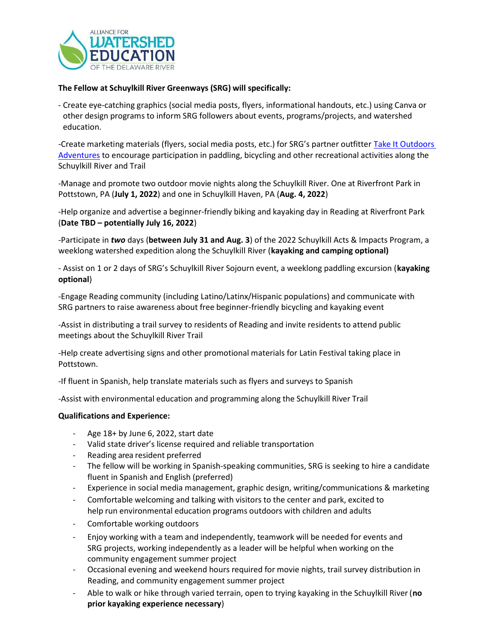

### The Fellow at Schuylkill River Greenways (SRG) will specifically:

- Create eye-catching graphics (social media posts, flyers, informational handouts, etc.) using Canva or other design programs to inform SRG followers about events, programs/projects, and watershed education.

-Create marketing materials (flyers, social media posts, etc.) for SRG's partner outfitter Take It Outdoors Adventures to encourage participation in paddling, bicycling and other recreational activities along the Schuylkill River and Trail

-Manage and promote two outdoor movie nights along the Schuylkill River. One at Riverfront Park in Pottstown, PA (July 1, 2022) and one in Schuylkill Haven, PA (Aug. 4, 2022)

-Help organize and advertise a beginner-friendly biking and kayaking day in Reading at Riverfront Park (Date TBD – potentially July 16, 2022)

-Participate in two days (between July 31 and Aug. 3) of the 2022 Schuylkill Acts & Impacts Program, a weeklong watershed expedition along the Schuylkill River (kayaking and camping optional)

- Assist on 1 or 2 days of SRG's Schuylkill River Sojourn event, a weeklong paddling excursion (kayaking optional)

-Engage Reading community (including Latino/Latinx/Hispanic populations) and communicate with SRG partners to raise awareness about free beginner-friendly bicycling and kayaking event

-Assist in distributing a trail survey to residents of Reading and invite residents to attend public meetings about the Schuylkill River Trail

-Help create advertising signs and other promotional materials for Latin Festival taking place in Pottstown.

-If fluent in Spanish, help translate materials such as flyers and surveys to Spanish

-Assist with environmental education and programming along the Schuylkill River Trail

#### Qualifications and Experience:

- Age 18+ by June 6, 2022, start date
- Valid state driver's license required and reliable transportation
- Reading area resident preferred
- The fellow will be working in Spanish-speaking communities, SRG is seeking to hire a candidate fluent in Spanish and English (preferred)
- Experience in social media management, graphic design, writing/communications & marketing
- Comfortable welcoming and talking with visitors to the center and park, excited to help run environmental education programs outdoors with children and adults
- Comfortable working outdoors
- Enjoy working with a team and independently, teamwork will be needed for events and SRG projects, working independently as a leader will be helpful when working on the community engagement summer project
- Occasional evening and weekend hours required for movie nights, trail survey distribution in Reading, and community engagement summer project
- Able to walk or hike through varied terrain, open to trying kayaking in the Schuylkill River (no prior kayaking experience necessary)